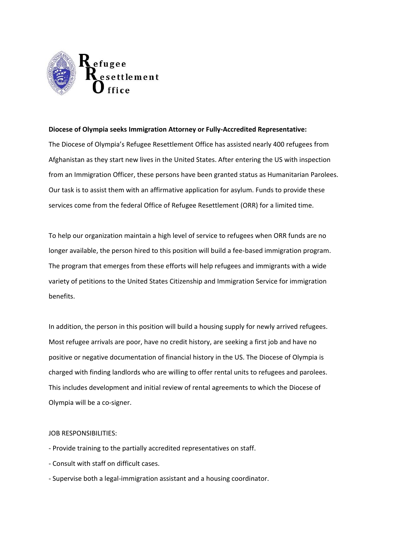

## **Diocese of Olympia seeks Immigration Attorney or Fully-Accredited Representative:**

The Diocese of Olympia's Refugee Resettlement Office has assisted nearly 400 refugees from Afghanistan as they start new lives in the United States. After entering the US with inspection from an Immigration Officer, these persons have been granted status as Humanitarian Parolees. Our task is to assist them with an affirmative application for asylum. Funds to provide these services come from the federal Office of Refugee Resettlement (ORR) for a limited time.

To help our organization maintain a high level of service to refugees when ORR funds are no longer available, the person hired to this position will build a fee-based immigration program. The program that emerges from these efforts will help refugees and immigrants with a wide variety of petitions to the United States Citizenship and Immigration Service for immigration benefits.

In addition, the person in this position will build a housing supply for newly arrived refugees. Most refugee arrivals are poor, have no credit history, are seeking a first job and have no positive or negative documentation of financial history in the US. The Diocese of Olympia is charged with finding landlords who are willing to offer rental units to refugees and parolees. This includes development and initial review of rental agreements to which the Diocese of Olympia will be a co-signer.

## JOB RESPONSIBILITIES:

- Provide training to the partially accredited representatives on staff.
- Consult with staff on difficult cases.
- Supervise both a legal-immigration assistant and a housing coordinator.